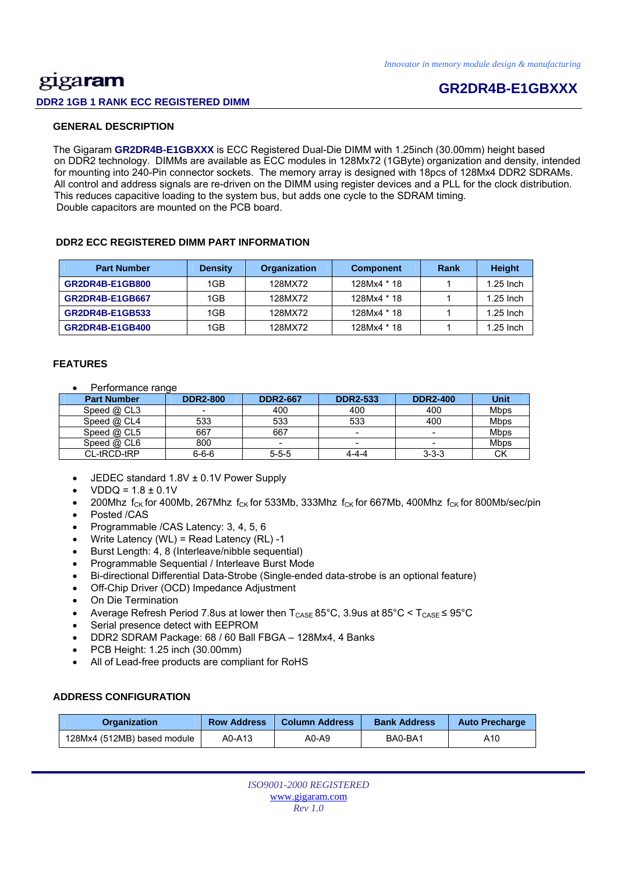# gigaram **DDR2 1GB 1 RANK ECC REGISTERED DIMM**

# **GR2DR4B-E1GBXXX**

# **GENERAL DESCRIPTION**

 The Gigaram **GR2DR4B-E1GBXXX** is ECC Registered Dual-Die DIMM with 1.25inch (30.00mm) height based on DDR2 technology. DIMMs are available as ECC modules in 128Mx72 (1GByte) organization and density, intended for mounting into 240-Pin connector sockets. The memory array is designed with 18pcs of 128Mx4 DDR2 SDRAMs. All control and address signals are re-driven on the DIMM using register devices and a PLL for the clock distribution. This reduces capacitive loading to the system bus, but adds one cycle to the SDRAM timing. Double capacitors are mounted on the PCB board.

## **DDR2 ECC REGISTERED DIMM PART INFORMATION**

| <b>Part Number</b>     | <b>Density</b> | <b>Organization</b> | <b>Component</b> | Rank | <b>Height</b> |
|------------------------|----------------|---------------------|------------------|------|---------------|
| <b>GR2DR4B-E1GB800</b> | 1GB            | 128MX72             | 128Mx4 * 18      |      | $1.25$ lnch   |
| <b>GR2DR4B-E1GB667</b> | 1GB            | 128MX72             | 128Mx4 * 18      |      | $1.25$ Inch   |
| GR2DR4B-E1GB533        | 1GB            | 128MX72             | 128Mx4 * 18      |      | $1.25$ Inch   |
| <b>GR2DR4B-E1GB400</b> | 1GB            | 128MX72             | 128Mx4 * 18      |      | $1.25$ Inch   |

### **FEATURES**

• Performance range

| <b>Part Number</b> | <b>DDR2-800</b> | <b>DDR2-667</b> | <b>DDR2-533</b>          | <b>DDR2-400</b>          | <b>Unit</b> |
|--------------------|-----------------|-----------------|--------------------------|--------------------------|-------------|
| Speed @ CL3        |                 | 400             | 400                      | 400                      | <b>Mbps</b> |
| Speed @ CL4        | 533             | 533             | 533                      | 400                      | <b>Mbps</b> |
| Speed @ CL5        | 667             | 667             | $\overline{\phantom{0}}$ | -                        | <b>Mbps</b> |
| Speed $@$ CL6      | 800             | -               | -                        | $\overline{\phantom{0}}$ | <b>Mbps</b> |
| CL-tRCD-tRP        | $6 - 6 - 6$     | $5 - 5 - 5$     | $4 - 4 - 4$              | $3 - 3 - 3$              | <b>CK</b>   |

- JEDEC standard 1.8V ± 0.1V Power Supply
- $VDDQ = 1.8 \pm 0.1V$
- 200Mhz  $f_{CK}$  for 400Mb, 267Mhz  $f_{CK}$  for 533Mb, 333Mhz  $f_{CK}$  for 667Mb, 400Mhz  $f_{CK}$  for 800Mb/sec/pin Posted /CAS
- 
- Programmable /CAS Latency: 3, 4, 5, 6
- Write Latency (WL) = Read Latency (RL) -1
- Burst Length: 4, 8 (Interleave/nibble sequential)
- Programmable Sequential / Interleave Burst Mode
- Bi-directional Differential Data-Strobe (Single-ended data-strobe is an optional feature)
- Off-Chip Driver (OCD) Impedance Adjustment
- On Die Termination
- Average Refresh Period 7.8us at lower then  $T_{\text{CASE}}$  85°C, 3.9us at 85°C <  $T_{\text{CASE}}$  ≤ 95°C
- Serial presence detect with EEPROM
- DDR2 SDRAM Package: 68 / 60 Ball FBGA 128Mx4, 4 Banks
- PCB Height: 1.25 inch (30.00mm)
- All of Lead-free products are compliant for RoHS

## **ADDRESS CONFIGURATION**

| <b>Row Address</b><br><b>Organization</b> |        | <b>Column Address</b> | <b>Bank Address</b> | <b>Auto Precharge</b> |  |
|-------------------------------------------|--------|-----------------------|---------------------|-----------------------|--|
| 128Mx4 (512MB) based module               | A0-A13 | A0-A9                 | BA0-BA1             | A10                   |  |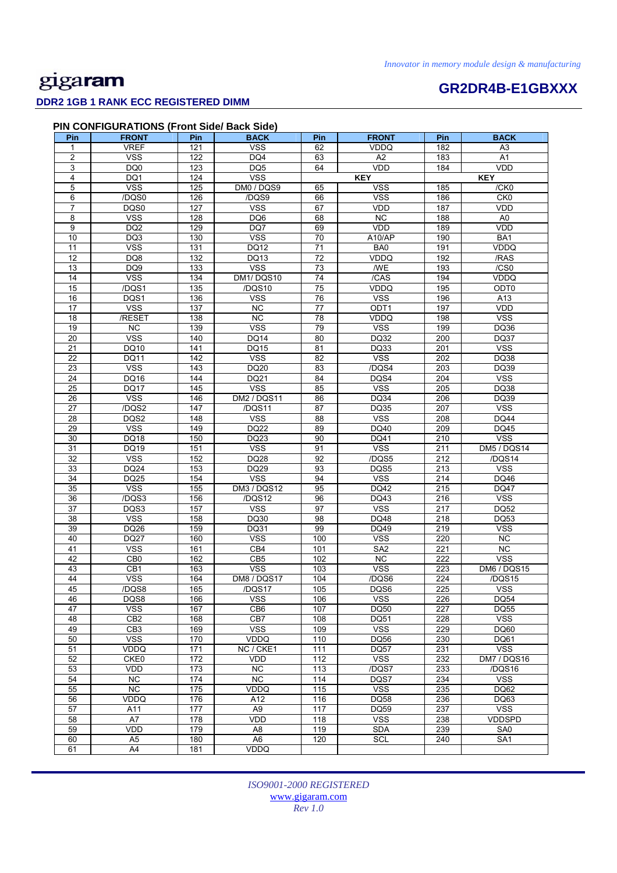# **GR2DR4B-E1GBXXX**

# **DDR2 1GB 1 RANK ECC REGISTERED DIMM**

| Pin             | <b>FRONT</b>    | Pin              | <b>BACK</b>        | Pin             | <b>FRONT</b>            | Pin | <b>BACK</b>        |
|-----------------|-----------------|------------------|--------------------|-----------------|-------------------------|-----|--------------------|
| 1               | <b>VREF</b>     | $\overline{121}$ | <b>VSS</b>         | 62              | <b>VDDQ</b>             | 182 | A3                 |
| $\overline{2}$  | <b>VSS</b>      | 122              | DQ4                | 63              | A2                      | 183 | A1                 |
| 3               | DQ0             | 123              | DQ <sub>5</sub>    | 64              | <b>VDD</b>              | 184 | <b>VDD</b>         |
| 4               | DQ1             | 124              | <b>VSS</b>         |                 | <b>KEY</b>              |     | <b>KEY</b>         |
| 5               | <b>VSS</b>      | 125              | DM0 / DQS9         | 65              | <b>VSS</b>              | 185 | /CK0               |
| 6               | /DQS0           | 126              | /DQS9              | 66              | <b>VSS</b>              | 186 | CK <sub>0</sub>    |
| $\overline{7}$  | DQS0            | 127              | <b>VSS</b>         | 67              | <b>VDD</b>              | 187 | <b>VDD</b>         |
| 8               | <b>VSS</b>      | 128              | DQ6                | 68              | NC                      | 188 | A <sub>0</sub>     |
| $\overline{9}$  | DQ <sub>2</sub> | 129              | DQ7                | 69              | VDD                     | 189 | VDD                |
| 10              | DQ3             | 130              | <b>VSS</b>         | 70              | A10/AP                  | 190 | BA1                |
| 11              | <b>VSS</b>      | 131              | DQ12               | 71              | BA0                     | 191 | <b>VDDQ</b>        |
| $\overline{12}$ | DQ8             | 132              | DQ13               | $\overline{72}$ | VDDQ                    | 192 | /RAS               |
| 13              | DQ <sub>9</sub> | 133              | <b>VSS</b>         | 73              | /WE                     | 193 | /CS0               |
| 14              | <b>VSS</b>      | 134              | DM1/DQS10          | $\overline{74}$ | /CAS                    | 194 | VDDQ               |
| 15              | /DQS1           | $\overline{135}$ | /DQS10             | $\overline{75}$ | <b>VDDQ</b>             | 195 | ODT <sub>0</sub>   |
| 16              | DQS1            | 136              | <b>VSS</b>         | 76              | <b>VSS</b>              | 196 | A13                |
| $\overline{17}$ | <b>VSS</b>      | 137              | <b>NC</b>          | $\overline{77}$ | ODT <sub>1</sub>        | 197 | VDD                |
| $\overline{18}$ | /RESET          | 138              | $\overline{NC}$    | 78              | VDDQ                    | 198 | <b>VSS</b>         |
| 19              | NC              | 139              | <b>VSS</b>         | 79              | <b>VSS</b>              | 199 | DQ36               |
| 20              | <b>VSS</b>      | 140              | <b>DQ14</b>        | 80              | DQ32                    | 200 | <b>DQ37</b>        |
| 21              | DQ10            | 141              | <b>DQ15</b>        | 81              | DQ33                    | 201 | <b>VSS</b>         |
| 22              | DQ11            | 142              | <b>VSS</b>         | 82              | <b>VSS</b>              | 202 | DQ38               |
| $\overline{23}$ | <b>VSS</b>      | 143              | DQ20               | 83              | /DQS4                   | 203 | DQ39               |
| 24              | DQ16            | 144              | DQ21               | 84              | DQS4                    | 204 | <b>VSS</b>         |
| 25              | <b>DQ17</b>     | 145              | <b>VSS</b>         | 85              | <b>VSS</b>              | 205 | DQ38               |
| 26              | <b>VSS</b>      | 146              | <b>DM2 / DQS11</b> | 86              | DQ34                    | 206 | DQ39               |
| $\overline{27}$ | /DQS2           | 147              | /DQS11             | 87              | <b>DQ35</b>             | 207 | <b>VSS</b>         |
| 28              | DQS2            | 148              | <b>VSS</b>         | 88              | $\overline{\text{VSS}}$ | 208 | <b>DQ44</b>        |
| 29              | <b>VSS</b>      | 149              | DQ22               | 89              | DQ40                    | 209 | DQ45               |
| 30              | DQ18            | 150              | DQ23               | 90              | DQ41                    | 210 | <b>VSS</b>         |
| 31              | DQ19            | 151              | <b>VSS</b>         | 91              | <b>VSS</b>              | 211 | <b>DM5 / DQS14</b> |
| 32              | <b>VSS</b>      | 152              | DQ28               | 92              | /DQS5                   | 212 | /DQS14             |
| 33              | DQ24            | 153              | DQ29               | 93              | DQS5                    | 213 | <b>VSS</b>         |
| 34              | DQ25            | 154              | <b>VSS</b>         | 94              | <b>VSS</b>              | 214 | DQ46               |
| $\overline{35}$ | <b>VSS</b>      | 155              | <b>DM3 / DQS12</b> | 95              | <b>DQ42</b>             | 215 | DQ47               |
| 36              | /DQS3           | 156              | /DQS12             | 96              | <b>DQ43</b>             | 216 | <b>VSS</b>         |
| 37              | DQS3            | 157              | <b>VSS</b>         | 97              | <b>VSS</b>              | 217 | <b>DQ52</b>        |
| 38              | <b>VSS</b>      | 158              | DQ30               | 98              | <b>DQ48</b>             | 218 | <b>DQ53</b>        |
| 39              | DQ26            | 159              | DQ31               | 99              | <b>DQ49</b>             | 219 | <b>VSS</b>         |
| 40              | <b>DQ27</b>     | 160              | <b>VSS</b>         | 100             | <b>VSS</b>              | 220 | NC                 |
| 41              | <b>VSS</b>      | 161              | CB4                | 101             | SA <sub>2</sub>         | 221 | $\overline{NC}$    |
| 42              | CB <sub>0</sub> | 162              | CB <sub>5</sub>    | 102             | <b>NC</b>               | 222 | <b>VSS</b>         |
| 43              | CB1             | 163              | <b>VSS</b>         | 103             | <b>VSS</b>              | 223 | <b>DM6 / DQS15</b> |
| 44              | <b>VSS</b>      | 164              | DM8 / DQS17        | 104             | /DQS6                   | 224 | /DQS15             |
| 45              | /DQS8           | 165              | /DQS17             | 105             | DQS6                    | 225 | VSS                |
| 46              | DQS8            | 166              | <b>VSS</b>         | 106             | <b>VSS</b>              | 226 | DQ54               |
| 47              | <b>VSS</b>      | 167              | CB <sub>6</sub>    | 107             | DQ50                    | 227 | DQ55               |
| 48              | CB <sub>2</sub> | 168              | CB7                | 108             | DQ51                    | 228 | <b>VSS</b>         |
| 49              | CB <sub>3</sub> | 169              | <b>VSS</b>         | 109             | <b>VSS</b>              | 229 | <b>DQ60</b>        |
| 50              | <b>VSS</b>      | 170              | VDDQ               | 110             | <b>DQ56</b>             | 230 | DQ61               |
| 51              | <b>VDDQ</b>     | 171              | NC / CKE1          | 111             | DQ57                    | 231 | <b>VSS</b>         |
| 52              | CKE0            | 172              | VDD                | 112             | <b>VSS</b><br>/DQS7     | 232 | DM7 / DQS16        |
| 53              | VDD             | 173              | NC                 | 113             |                         | 233 | /DQS16             |
| 54              | NC              | 174              | NC                 | 114             | DQS7                    | 234 | <b>VSS</b>         |
| 55              | NC              | 175              | VDDQ               | 115             | <b>VSS</b>              | 235 | DQ62               |
| 56              | <b>VDDQ</b>     | 176              | A12                | 116             | DQ58                    | 236 | DQ63               |
| 57              | A11             | 177              | A <sub>9</sub>     | 117             | DQ59                    | 237 | <b>VSS</b>         |
| 58              | A7              | 178              | VDD                | 118             | <b>VSS</b>              | 238 | <b>VDDSPD</b>      |
| 59              | VDD             | 179              | A8                 | 119             | <b>SDA</b>              | 239 | SA0                |
| 60              | A <sub>5</sub>  | 180              | A <sub>6</sub>     | 120             | <b>SCL</b>              | 240 | SA <sub>1</sub>    |
| 61              | A4              | 181              | VDDQ               |                 |                         |     |                    |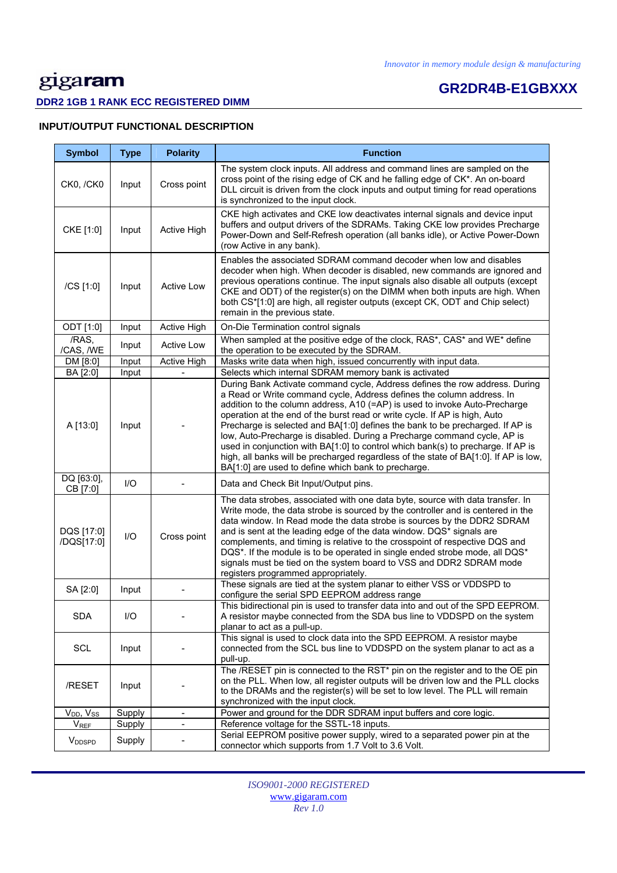# **GR2DR4B-E1GBXXX**

# **DDR2 1GB 1 RANK ECC REGISTERED DIMM**

# **INPUT/OUTPUT FUNCTIONAL DESCRIPTION**

| <b>Symbol</b>             | <b>Type</b> | <b>Polarity</b>   | <b>Function</b>                                                                                                                                                                                                                                                                                                                                                                                                                                                                                                                                                                                                                                                                                                  |
|---------------------------|-------------|-------------------|------------------------------------------------------------------------------------------------------------------------------------------------------------------------------------------------------------------------------------------------------------------------------------------------------------------------------------------------------------------------------------------------------------------------------------------------------------------------------------------------------------------------------------------------------------------------------------------------------------------------------------------------------------------------------------------------------------------|
| <b>CK0, /CK0</b>          | Input       | Cross point       | The system clock inputs. All address and command lines are sampled on the<br>cross point of the rising edge of CK and he falling edge of CK*. An on-board<br>DLL circuit is driven from the clock inputs and output timing for read operations<br>is synchronized to the input clock.                                                                                                                                                                                                                                                                                                                                                                                                                            |
| CKE [1:0]                 | Input       | Active High       | CKE high activates and CKE low deactivates internal signals and device input<br>buffers and output drivers of the SDRAMs. Taking CKE low provides Precharge<br>Power-Down and Self-Refresh operation (all banks idle), or Active Power-Down<br>(row Active in any bank).                                                                                                                                                                                                                                                                                                                                                                                                                                         |
| /CS [1:0]                 | Input       | Active Low        | Enables the associated SDRAM command decoder when low and disables<br>decoder when high. When decoder is disabled, new commands are ignored and<br>previous operations continue. The input signals also disable all outputs (except<br>CKE and ODT) of the register(s) on the DIMM when both inputs are high. When<br>both CS*[1:0] are high, all register outputs (except CK, ODT and Chip select)<br>remain in the previous state.                                                                                                                                                                                                                                                                             |
| ODT [1:0]                 | Input       | Active High       | On-Die Termination control signals                                                                                                                                                                                                                                                                                                                                                                                                                                                                                                                                                                                                                                                                               |
| /RAS,<br>/CAS, /WE        | Input       | <b>Active Low</b> | When sampled at the positive edge of the clock, RAS*, CAS* and WE* define<br>the operation to be executed by the SDRAM.                                                                                                                                                                                                                                                                                                                                                                                                                                                                                                                                                                                          |
| DM [8:0]                  | Input       | Active High       | Masks write data when high, issued concurrently with input data.                                                                                                                                                                                                                                                                                                                                                                                                                                                                                                                                                                                                                                                 |
| BA [2:0]                  | Input       |                   | Selects which internal SDRAM memory bank is activated                                                                                                                                                                                                                                                                                                                                                                                                                                                                                                                                                                                                                                                            |
| A [13:0]                  | Input       |                   | During Bank Activate command cycle, Address defines the row address. During<br>a Read or Write command cycle, Address defines the column address. In<br>addition to the column address, A10 (=AP) is used to invoke Auto-Precharge<br>operation at the end of the burst read or write cycle. If AP is high, Auto<br>Precharge is selected and BA[1:0] defines the bank to be precharged. If AP is<br>low, Auto-Precharge is disabled. During a Precharge command cycle, AP is<br>used in conjunction with BA[1:0] to control which bank(s) to precharge. If AP is<br>high, all banks will be precharged regardless of the state of BA[1:0]. If AP is low,<br>BA[1:0] are used to define which bank to precharge. |
| DQ [63:0],<br>CB [7:0]    | I/O         |                   | Data and Check Bit Input/Output pins.                                                                                                                                                                                                                                                                                                                                                                                                                                                                                                                                                                                                                                                                            |
| DQS [17:0]<br>/DQS[17:0]  | I/O         | Cross point       | The data strobes, associated with one data byte, source with data transfer. In<br>Write mode, the data strobe is sourced by the controller and is centered in the<br>data window. In Read mode the data strobe is sources by the DDR2 SDRAM<br>and is sent at the leading edge of the data window. DQS* signals are<br>complements, and timing is relative to the crosspoint of respective DQS and<br>DQS*. If the module is to be operated in single ended strobe mode, all DQS*<br>signals must be tied on the system board to VSS and DDR2 SDRAM mode<br>registers programmed appropriately.                                                                                                                  |
| SA [2:0]                  | Input       |                   | These signals are tied at the system planar to either VSS or VDDSPD to<br>configure the serial SPD EEPROM address range                                                                                                                                                                                                                                                                                                                                                                                                                                                                                                                                                                                          |
| <b>SDA</b>                | I/O         |                   | This bidirectional pin is used to transfer data into and out of the SPD EEPROM.<br>A resistor maybe connected from the SDA bus line to VDDSPD on the system<br>planar to act as a pull-up.                                                                                                                                                                                                                                                                                                                                                                                                                                                                                                                       |
| <b>SCL</b>                | Input       |                   | This signal is used to clock data into the SPD EEPROM. A resistor maybe<br>connected from the SCL bus line to VDDSPD on the system planar to act as a<br>pull-up.                                                                                                                                                                                                                                                                                                                                                                                                                                                                                                                                                |
| /RESET                    | Input       |                   | The /RESET pin is connected to the RST* pin on the register and to the OE pin<br>on the PLL. When low, all register outputs will be driven low and the PLL clocks<br>to the DRAMs and the register(s) will be set to low level. The PLL will remain<br>synchronized with the input clock.                                                                                                                                                                                                                                                                                                                                                                                                                        |
| $V_{DD}$ , $V_{SS}$       | Supply      | $\blacksquare$    | Power and ground for the DDR SDRAM input buffers and core logic.                                                                                                                                                                                                                                                                                                                                                                                                                                                                                                                                                                                                                                                 |
| <b>V</b> <sub>REF</sub>   | Supply      | $\frac{1}{2}$     | Reference voltage for the SSTL-18 inputs.                                                                                                                                                                                                                                                                                                                                                                                                                                                                                                                                                                                                                                                                        |
| <b>V</b> <sub>DDSPD</sub> | Supply      |                   | Serial EEPROM positive power supply, wired to a separated power pin at the<br>connector which supports from 1.7 Volt to 3.6 Volt.                                                                                                                                                                                                                                                                                                                                                                                                                                                                                                                                                                                |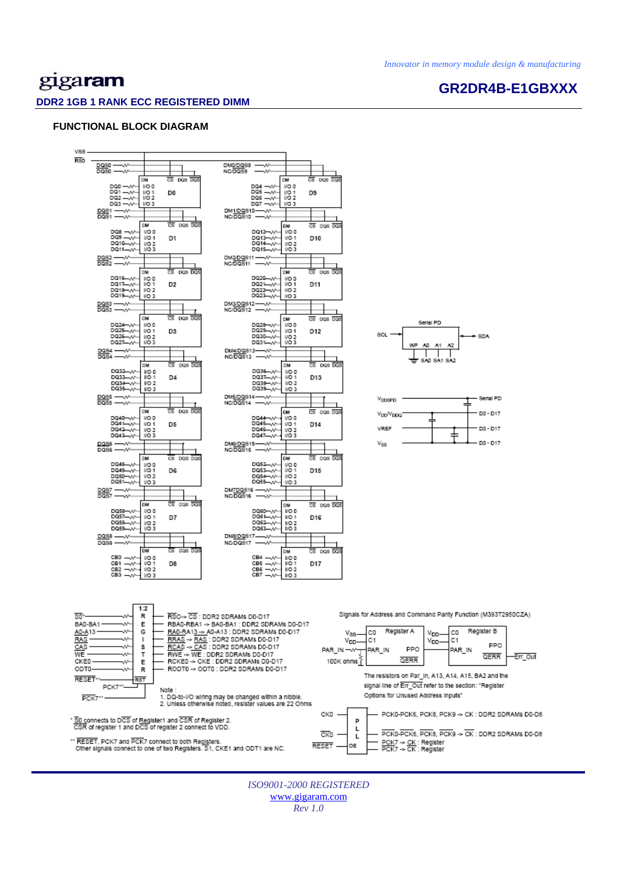# gigaram

### **DDR2 1GB 1 RANK ECC REGISTERED DIMM**

# **GR2DR4B-E1GBXXX**

### **FUNCTIONAL BLOCK DIAGRAM**

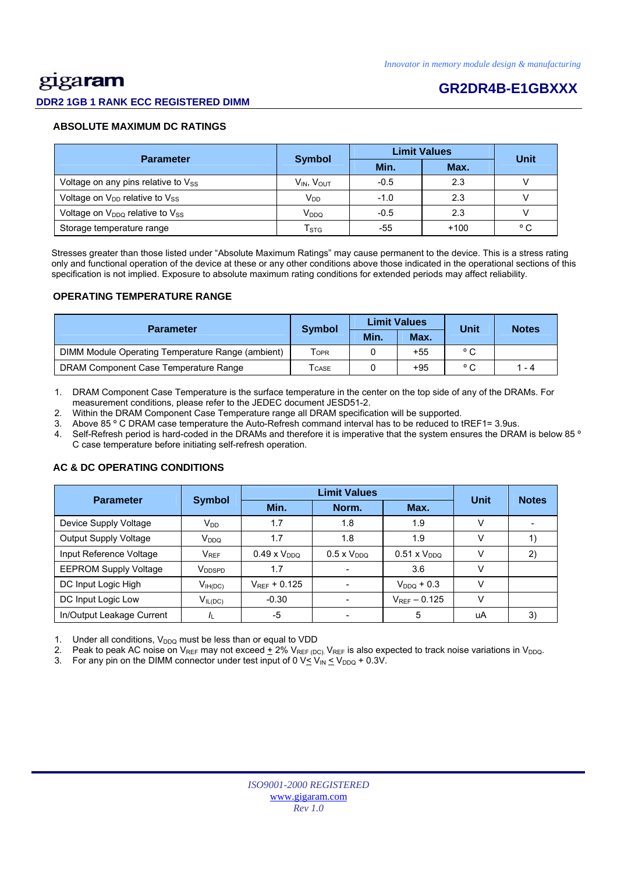# gigaram

## **DDR2 1GB 1 RANK ECC REGISTERED DIMM**

# **GR2DR4B-E1GBXXX**

### **ABSOLUTE MAXIMUM DC RATINGS**

| <b>Parameter</b>                          |                           | <b>Limit Values</b> | Unit   |              |
|-------------------------------------------|---------------------------|---------------------|--------|--------------|
|                                           | <b>Symbol</b>             | Min.                | Max.   |              |
| Voltage on any pins relative to $V_{SS}$  | $V_{IN}$ , $V_{OUT}$      | $-0.5$              | 2.3    |              |
| Voltage on $V_{DD}$ relative to $V_{SS}$  | <b>V<sub>DD</sub></b>     | $-1.0$              | 2.3    |              |
| Voltage on $V_{DDQ}$ relative to $V_{SS}$ | V <sub>DDQ</sub>          | $-0.5$              | 2.3    |              |
| Storage temperature range                 | $\mathsf{T}_{\text{STG}}$ | -55                 | $+100$ | $^{\circ}$ C |

 Stresses greater than those listed under "Absolute Maximum Ratings" may cause permanent to the device. This is a stress rating only and functional operation of the device at these or any other conditions above those indicated in the operational sections of this specification is not implied. Exposure to absolute maximum rating conditions for extended periods may affect reliability.

### **OPERATING TEMPERATURE RANGE**

| <b>Parameter</b>                                  |                  |      | <b>Limit Values</b> | Unit           | <b>Notes</b> |  |
|---------------------------------------------------|------------------|------|---------------------|----------------|--------------|--|
|                                                   | <b>Symbol</b>    | Min. | Max.                |                |              |  |
| DIMM Module Operating Temperature Range (ambient) | T <sub>OPR</sub> |      | $+55$               | $^{\circ}$ C   |              |  |
| DRAM Component Case Temperature Range             | <b>CASE</b>      |      | $+95$               | $\circ$ $\sim$ | 1 - 4        |  |

1. DRAM Component Case Temperature is the surface temperature in the center on the top side of any of the DRAMs. For measurement conditions, please refer to the JEDEC document JESD51-2.

2. Within the DRAM Component Case Temperature range all DRAM specification will be supported.

3. Above 85 º C DRAM case temperature the Auto-Refresh command interval has to be reduced to tREF1= 3.9us.

4. Self-Refresh period is hard-coded in the DRAMs and therefore it is imperative that the system ensures the DRAM is below 85 º C case temperature before initiating self-refresh operation.

# Parameter Symbol **Definit Values**<br>Min. Norm. Max. **Unit Notes**  Device Supply Voltage  $V_{DD}$   $V_{DD}$  1.7  $1.8$  1.8 1.9 V Output Supply Voltage VDDQ 1.7 1.8 1.9 V 1) Input Reference Voltage  $V_{REF}$  0.49 x V<sub>DDQ</sub> 0.5 x V<sub>DDQ</sub> 0.51 x V<sub>DDQ</sub> V 2) EEPROM Supply Voltage VDDSPD 1.7 - 3.6 V DC Input Logic High  $V_{\text{H(DC)}}$   $V_{\text{REF}}$  + 0.125  $\vert$  -  $V_{\text{DDQ}}$  + 0.3  $\vert$  V DC Input Logic Low  $V_{IL(DC)}$   $-0.30$   $-V_{REF} - 0.125$  V In/Output Leakage Current |  $I_L$  | -5 | - | 5 | uA | 3)

## **AC & DC OPERATING CONDITIONS**

Under all conditions,  $V_{DDQ}$  must be less than or equal to VDD

2. Peak to peak AC noise on V<sub>REF</sub> may not exceed  $\pm$  2% V<sub>REF (DC)</sub>. V<sub>REF</sub> is also expected to track noise variations in V<sub>DDQ</sub>.

3. For any pin on the DIMM connector under test input of 0  $V \leq V_{IN} \leq V_{DDQ} + 0.3V$ .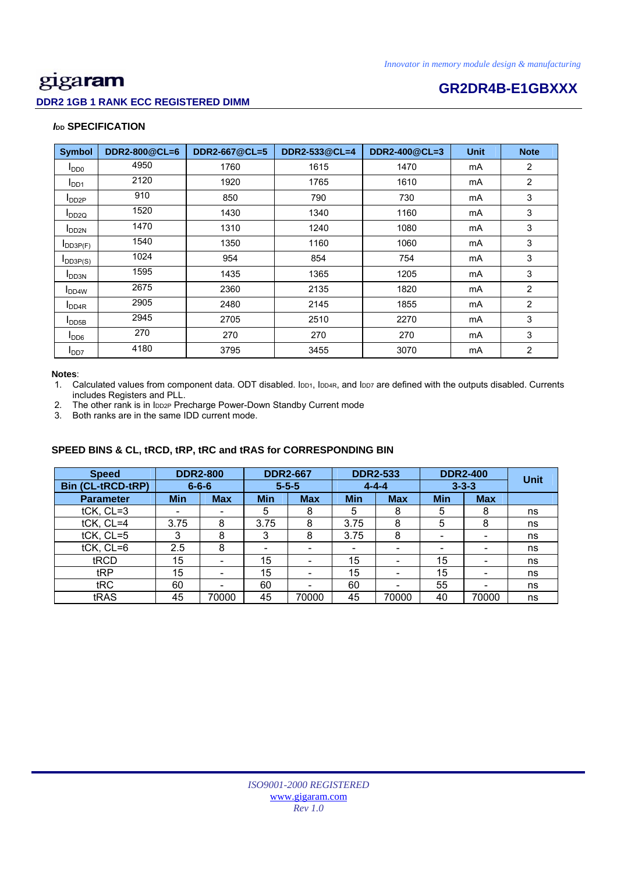# **DDR2 1GB 1 RANK ECC REGISTERED DIMM**

# **Example 20 Intervention CR2DR4B-E1GBXXX**

## *I***<sub>DD</sub> SPECIFICATION**

| <b>Symbol</b>             | DDR2-800@CL=6 | DDR2-667@CL=5 | DDR2-533@CL=4 | DDR2-400@CL=3 | <b>Unit</b> | <b>Note</b>    |
|---------------------------|---------------|---------------|---------------|---------------|-------------|----------------|
| I <sub>DD0</sub>          | 4950          | 1760          | 1615          | 1470          | mA          | $\overline{2}$ |
| I <sub>DD1</sub>          | 2120          | 1920          | 1765          | 1610          | mA          | $\overline{2}$ |
| $I_{DD2P}$                | 910           | 850           | 790           | 730           | mA          | 3              |
| $I_{DD2Q}$                | 1520          | 1430          | 1340          | 1160          | mA          | 3              |
| <b>I</b> DD <sub>2N</sub> | 1470          | 1310          | 1240          | 1080          | mA          | 3              |
| $I$ DD3P(F)               | 1540          | 1350          | 1160          | 1060          | mA          | 3              |
| $I_{DD3P(S)}$             | 1024          | 954           | 854           | 754           | mA          | 3              |
| <b>I</b> DD3N             | 1595          | 1435          | 1365          | 1205          | mA          | 3              |
| <b>IDD4W</b>              | 2675          | 2360          | 2135          | 1820          | mA          | $\overline{2}$ |
| I <sub>DD4R</sub>         | 2905          | 2480          | 2145          | 1855          | mA          | $\overline{2}$ |
| $I_{\text{DDB}}$          | 2945          | 2705          | 2510          | 2270          | mA          | 3              |
| I <sub>DD6</sub>          | 270           | 270           | 270           | 270           | mA          | 3              |
| I <sub>DD7</sub>          | 4180          | 3795          | 3455          | 3070          | mA          | $\overline{2}$ |

### **Notes**:

1. Calculated values from component data. ODT disabled. IDD1, IDD4R, and IDD7 are defined with the outputs disabled. Currents includes Registers and PLL.

2. The other rank is in IDD2P Precharge Power-Down Standby Current mode

3. Both ranks are in the same IDD current mode.

# **SPEED BINS & CL, tRCD, tRP, tRC and tRAS for CORRESPONDING BIN**

| <b>Speed</b>             | <b>DDR2-800</b> |                          |             | <b>DDR2-667</b> |                          | <b>DDR2-533</b>          |                          | <b>DDR2-400</b> |             |
|--------------------------|-----------------|--------------------------|-------------|-----------------|--------------------------|--------------------------|--------------------------|-----------------|-------------|
| <b>Bin (CL-tRCD-tRP)</b> |                 | $6 - 6 - 6$              | $5 - 5 - 5$ |                 | $4 - 4 - 4$              |                          | $3 - 3 - 3$              |                 | <b>Unit</b> |
| <b>Parameter</b>         | <b>Min</b>      | <b>Max</b>               | <b>Min</b>  | <b>Max</b>      | <b>Min</b>               | <b>Max</b>               | <b>Min</b>               | <b>Max</b>      |             |
| tCK, CL=3                | ۰               |                          | 5           | 8               | 5                        | 8                        | 5                        | 8               | ns          |
| tCK, CL=4                | 3.75            | 8                        | 3.75        | 8               | 3.75                     | 8                        | 5                        | 8               | ns          |
| tCK, CL=5                | 3               | 8                        | 3           | 8               | 3.75                     | 8                        | $\overline{\phantom{0}}$ | -               | ns          |
| $tCK$ , $CL=6$           | 2.5             | 8                        | -           |                 | $\overline{\phantom{0}}$ | -                        | -                        |                 | ns          |
| tRCD                     | 15              | $\overline{\phantom{0}}$ | 15          | -               | 15                       | -                        | 15                       |                 | ns          |
| tRP                      | 15              |                          | 15          |                 | 15                       | $\overline{\phantom{0}}$ | 15                       |                 | ns          |
| tRC                      | 60              |                          | 60          |                 | 60                       |                          | 55                       |                 | ns          |
| tRAS                     | 45              | 70000                    | 45          | 70000           | 45                       | 70000                    | 40                       | 70000           | ns          |